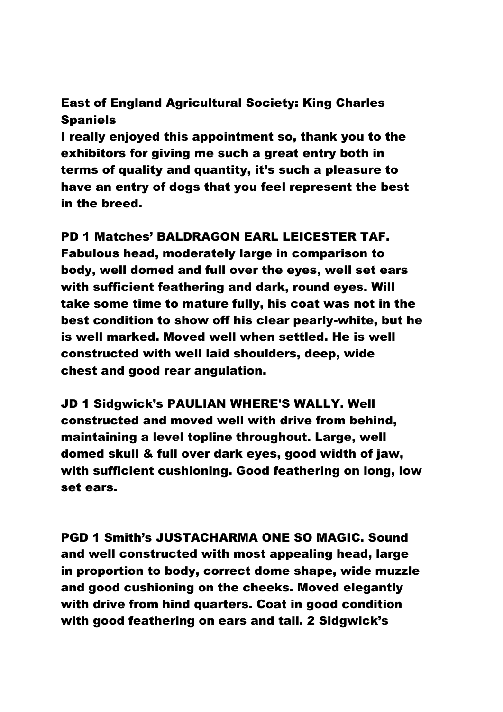# East of England Agricultural Society: King Charles Spaniels

I really enjoyed this appointment so, thank you to the exhibitors for giving me such a great entry both in terms of quality and quantity, it's such a pleasure to have an entry of dogs that you feel represent the best in the breed.

#### PD 1 Matches' BALDRAGON EARL LEICESTER TAF.

Fabulous head, moderately large in comparison to body, well domed and full over the eyes, well set ears with sufficient feathering and dark, round eyes. Will take some time to mature fully, his coat was not in the best condition to show off his clear pearly-white, but he is well marked. Moved well when settled. He is well constructed with well laid shoulders, deep, wide chest and good rear angulation.

JD 1 Sidgwick's PAULIAN WHERE'S WALLY. Well constructed and moved well with drive from behind, maintaining a level topline throughout. Large, well domed skull & full over dark eyes, good width of jaw, with sufficient cushioning. Good feathering on long, low set ears.

PGD 1 Smith's JUSTACHARMA ONE SO MAGIC. Sound and well constructed with most appealing head, large in proportion to body, correct dome shape, wide muzzle and good cushioning on the cheeks. Moved elegantly with drive from hind quarters. Coat in good condition with good feathering on ears and tail. 2 Sidgwick's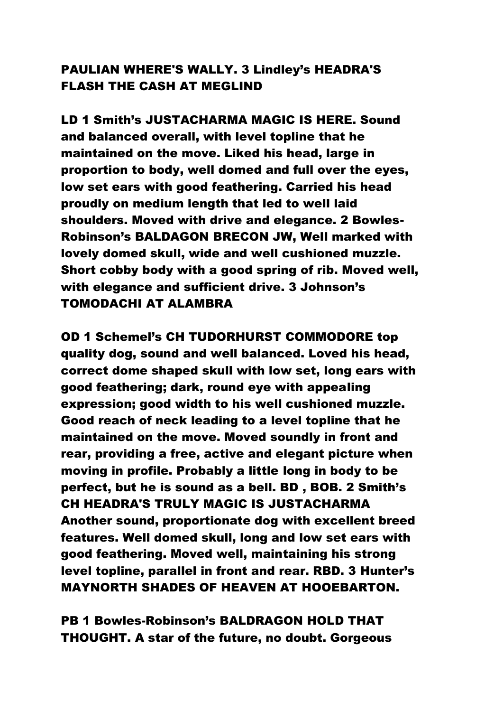## PAULIAN WHERE'S WALLY. 3 Lindley's HEADRA'S FLASH THE CASH AT MEGLIND

LD 1 Smith's JUSTACHARMA MAGIC IS HERE. Sound and balanced overall, with level topline that he maintained on the move. Liked his head, large in proportion to body, well domed and full over the eyes, low set ears with good feathering. Carried his head proudly on medium length that led to well laid shoulders. Moved with drive and elegance. 2 Bowles-Robinson's BALDAGON BRECON JW, Well marked with lovely domed skull, wide and well cushioned muzzle. Short cobby body with a good spring of rib. Moved well, with elegance and sufficient drive. 3 Johnson's TOMODACHI AT ALAMBRA

OD 1 Schemel's CH TUDORHURST COMMODORE top quality dog, sound and well balanced. Loved his head, correct dome shaped skull with low set, long ears with good feathering; dark, round eye with appealing expression; good width to his well cushioned muzzle. Good reach of neck leading to a level topline that he maintained on the move. Moved soundly in front and rear, providing a free, active and elegant picture when moving in profile. Probably a little long in body to be perfect, but he is sound as a bell. BD , BOB. 2 Smith's CH HEADRA'S TRULY MAGIC IS JUSTACHARMA Another sound, proportionate dog with excellent breed features. Well domed skull, long and low set ears with good feathering. Moved well, maintaining his strong level topline, parallel in front and rear. RBD. 3 Hunter's MAYNORTH SHADES OF HEAVEN AT HOOEBARTON.

PB 1 Bowles-Robinson's BALDRAGON HOLD THAT THOUGHT. A star of the future, no doubt. Gorgeous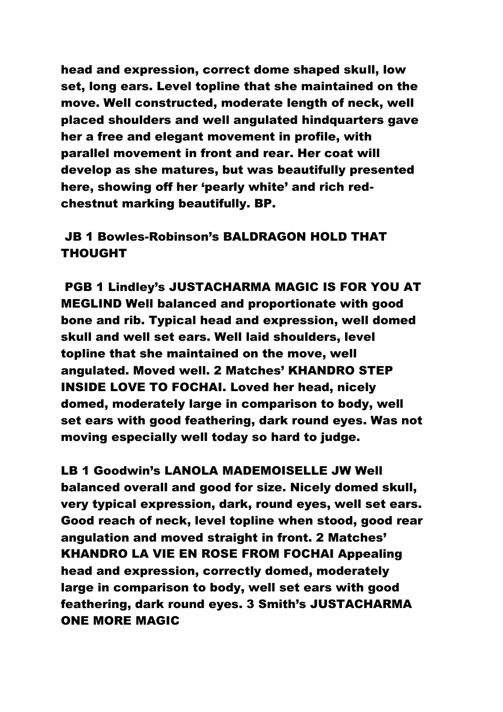head and expression, correct dome shaped skull, low set, long ears. Level topline that she maintained on the move. Well constructed, moderate length of neck, well placed shoulders and well angulated hindquarters gave her a free and elegant movement in profile, with parallel movement in front and rear. Her coat will develop as she matures, but was beautifully presented here, showing off her 'pearly white' and rich redchestnut marking beautifully. BP.

# JB 1 Bowles-Robinson's BALDRAGON HOLD THAT THOUGHT

PGB 1 Lindley's JUSTACHARMA MAGIC IS FOR YOU AT MEGLIND Well balanced and proportionate with good bone and rib. Typical head and expression, well domed skull and well set ears. Well laid shoulders, level topline that she maintained on the move, well angulated. Moved well. 2 Matches' KHANDRO STEP INSIDE LOVE TO FOCHAI. Loved her head, nicely domed, moderately large in comparison to body, well set ears with good feathering, dark round eyes. Was not moving especially well today so hard to judge.

LB 1 Goodwin's LANOLA MADEMOISELLE JW Well balanced overall and good for size. Nicely domed skull, very typical expression, dark, round eyes, well set ears. Good reach of neck, level topline when stood, good rear angulation and moved straight in front. 2 Matches' KHANDRO LA VIE EN ROSE FROM FOCHAI Appealing head and expression, correctly domed, moderately large in comparison to body, well set ears with good feathering, dark round eyes. 3 Smith's JUSTACHARMA ONE MORE MAGIC